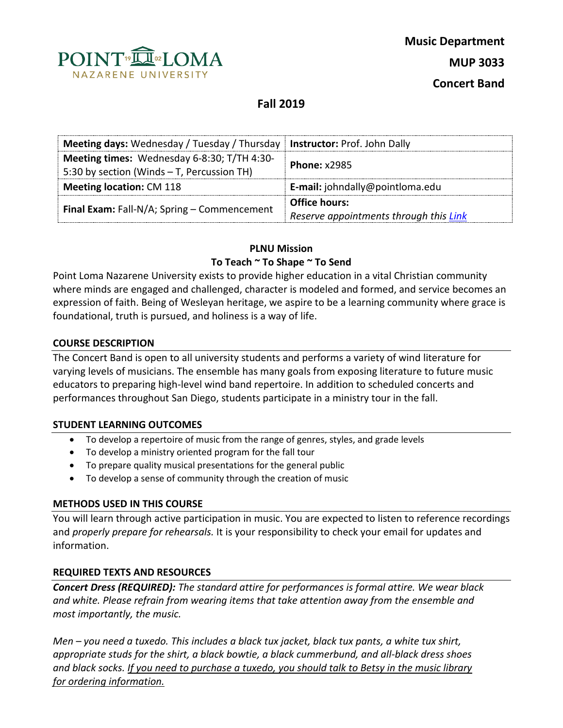

# **Fall 2019**

| Meeting days: Wednesday / Tuesday / Thursday   Instructor: Prof. John Dally               |                                        |  |
|-------------------------------------------------------------------------------------------|----------------------------------------|--|
| Meeting times: Wednesday 6-8:30; T/TH 4:30-<br>5:30 by section (Winds - T, Percussion TH) | <b>Phone: x2985</b>                    |  |
| <b>Meeting location: CM 118</b>                                                           | E-mail: johndally@pointloma.edu        |  |
| <b>Final Exam:</b> Fall-N/A; Spring $-$ Commencement                                      | <b>Office hours:</b>                   |  |
|                                                                                           | Reserve appointments through this Link |  |

### **PLNU Mission**

### **To Teach ~ To Shape ~ To Send**

Point Loma Nazarene University exists to provide higher education in a vital Christian community where minds are engaged and challenged, character is modeled and formed, and service becomes an expression of faith. Being of Wesleyan heritage, we aspire to be a learning community where grace is foundational, truth is pursued, and holiness is a way of life.

#### **COURSE DESCRIPTION**

The Concert Band is open to all university students and performs a variety of wind literature for varying levels of musicians. The ensemble has many goals from exposing literature to future music educators to preparing high-level wind band repertoire. In addition to scheduled concerts and performances throughout San Diego, students participate in a ministry tour in the fall.

#### **STUDENT LEARNING OUTCOMES**

- To develop a repertoire of music from the range of genres, styles, and grade levels
- To develop a ministry oriented program for the fall tour
- To prepare quality musical presentations for the general public
- To develop a sense of community through the creation of music

#### **METHODS USED IN THIS COURSE**

You will learn through active participation in music. You are expected to listen to reference recordings and *properly prepare for rehearsals.* It is your responsibility to check your email for updates and information.

## **REQUIRED TEXTS AND RESOURCES**

*Concert Dress (REQUIRED): The standard attire for performances is formal attire. We wear black and white. Please refrain from wearing items that take attention away from the ensemble and most importantly, the music.*

*Men – you need a tuxedo. This includes a black tux jacket, black tux pants, a white tux shirt, appropriate studs for the shirt, a black bowtie, a black cummerbund, and all-black dress shoes and black socks. If you need to purchase a tuxedo, you should talk to Betsy in the music library for ordering information.*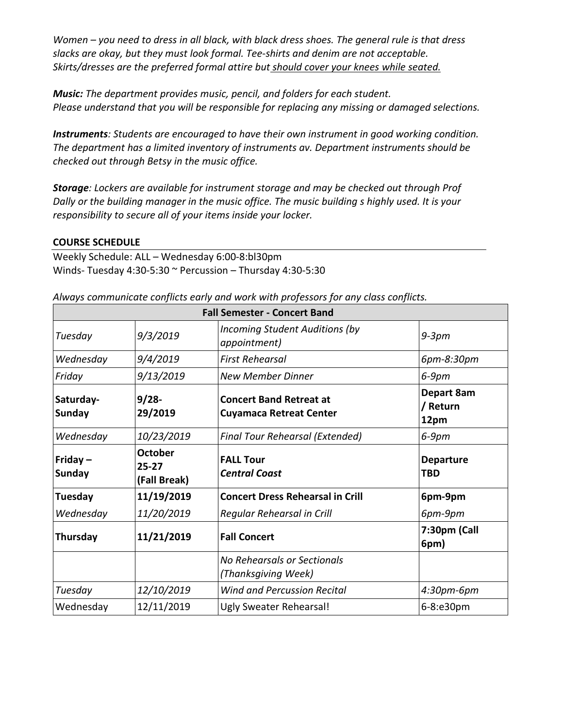*Women – you need to dress in all black, with black dress shoes. The general rule is that dress slacks are okay, but they must look formal. Tee-shirts and denim are not acceptable. Skirts/dresses are the preferred formal attire but should cover your knees while seated.*

*Music: The department provides music, pencil, and folders for each student. Please understand that you will be responsible for replacing any missing or damaged selections.*

*Instruments: Students are encouraged to have their own instrument in good working condition. The department has a limited inventory of instruments av. Department instruments should be checked out through Betsy in the music office.*

*Storage: Lockers are available for instrument storage and may be checked out through Prof Dally or the building manager in the music office. The music building s highly used. It is your responsibility to secure all of your items inside your locker.*

## **COURSE SCHEDULE**

Weekly Schedule: ALL – Wednesday 6:00-8:bl30pm Winds- Tuesday 4:30-5:30 ~ Percussion – Thursday 4:30-5:30

| <b>Fall Semester - Concert Band</b> |                                             |                                                                  |                                |  |
|-------------------------------------|---------------------------------------------|------------------------------------------------------------------|--------------------------------|--|
| Tuesday                             | 9/3/2019                                    | Incoming Student Auditions (by<br>appointment)                   | $9-3pm$                        |  |
| Wednesday                           | 9/4/2019                                    | <b>First Rehearsal</b>                                           | 6pm-8:30pm                     |  |
| Friday                              | 9/13/2019                                   | <b>New Member Dinner</b>                                         | $6-9$ pm                       |  |
| Saturday-<br><b>Sunday</b>          | $9/28 -$<br>29/2019                         | <b>Concert Band Retreat at</b><br><b>Cuyamaca Retreat Center</b> | Depart 8am<br>/ Return<br>12pm |  |
| Wednesday                           | 10/23/2019                                  | Final Tour Rehearsal (Extended)                                  | $6-9$ pm                       |  |
| Friday $-$<br><b>Sunday</b>         | <b>October</b><br>$25 - 27$<br>(Fall Break) | <b>FALL Tour</b><br><b>Central Coast</b>                         | <b>Departure</b><br><b>TBD</b> |  |
| Tuesday                             | 11/19/2019                                  | <b>Concert Dress Rehearsal in Crill</b>                          | 6pm-9pm                        |  |
| Wednesday                           | 11/20/2019                                  | Regular Rehearsal in Crill                                       | 6pm-9pm                        |  |
| Thursday                            | 11/21/2019                                  | <b>Fall Concert</b>                                              | 7:30pm (Call<br>6pm)           |  |
|                                     |                                             | No Rehearsals or Sectionals<br>(Thanksgiving Week)               |                                |  |
| Tuesday                             | 12/10/2019                                  | <b>Wind and Percussion Recital</b>                               | 4:30pm-6pm                     |  |
| Wednesday                           | 12/11/2019                                  | Ugly Sweater Rehearsal!                                          | 6-8:e30pm                      |  |

| Always communicate conflicts early and work with professors for any class conflicts. |  |  |  |  |
|--------------------------------------------------------------------------------------|--|--|--|--|
|                                                                                      |  |  |  |  |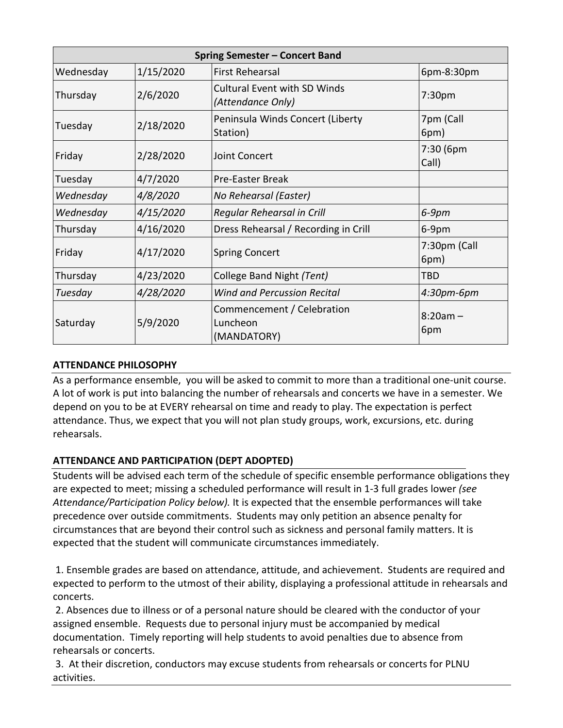| <b>Spring Semester - Concert Band</b> |           |                                                          |                      |
|---------------------------------------|-----------|----------------------------------------------------------|----------------------|
| Wednesday                             | 1/15/2020 | <b>First Rehearsal</b>                                   | 6pm-8:30pm           |
| Thursday                              | 2/6/2020  | <b>Cultural Event with SD Winds</b><br>(Attendance Only) | 7:30pm               |
| Tuesday                               | 2/18/2020 | Peninsula Winds Concert (Liberty<br>Station)             | 7pm (Call<br>6pm)    |
| Friday                                | 2/28/2020 | Joint Concert                                            | 7:30 (6pm<br>Call)   |
| Tuesday                               | 4/7/2020  | <b>Pre-Easter Break</b>                                  |                      |
| Wednesday                             | 4/8/2020  | No Rehearsal (Easter)                                    |                      |
| Wednesday                             | 4/15/2020 | Regular Rehearsal in Crill                               | $6-9$ pm             |
| Thursday                              | 4/16/2020 | Dress Rehearsal / Recording in Crill                     | 6-9pm                |
| Friday                                | 4/17/2020 | <b>Spring Concert</b>                                    | 7:30pm (Call<br>6pm) |
| Thursday                              | 4/23/2020 | College Band Night (Tent)                                | TBD                  |
| Tuesday                               | 4/28/2020 | <b>Wind and Percussion Recital</b>                       | 4:30pm-6pm           |
| Saturday                              | 5/9/2020  | Commencement / Celebration<br>Luncheon<br>(MANDATORY)    | $8:20am -$<br>6pm    |

## **ATTENDANCE PHILOSOPHY**

As a performance ensemble, you will be asked to commit to more than a traditional one-unit course. A lot of work is put into balancing the number of rehearsals and concerts we have in a semester. We depend on you to be at EVERY rehearsal on time and ready to play. The expectation is perfect attendance. Thus, we expect that you will not plan study groups, work, excursions, etc. during rehearsals.

## **ATTENDANCE AND PARTICIPATION (DEPT ADOPTED)**

Students will be advised each term of the schedule of specific ensemble performance obligations they are expected to meet; missing a scheduled performance will result in 1-3 full grades lower *(see Attendance/Participation Policy below).* It is expected that the ensemble performances will take precedence over outside commitments. Students may only petition an absence penalty for circumstances that are beyond their control such as sickness and personal family matters. It is expected that the student will communicate circumstances immediately.

1. Ensemble grades are based on attendance, attitude, and achievement. Students are required and expected to perform to the utmost of their ability, displaying a professional attitude in rehearsals and concerts.

2. Absences due to illness or of a personal nature should be cleared with the conductor of your assigned ensemble. Requests due to personal injury must be accompanied by medical documentation. Timely reporting will help students to avoid penalties due to absence from rehearsals or concerts.

3. At their discretion, conductors may excuse students from rehearsals or concerts for PLNU activities.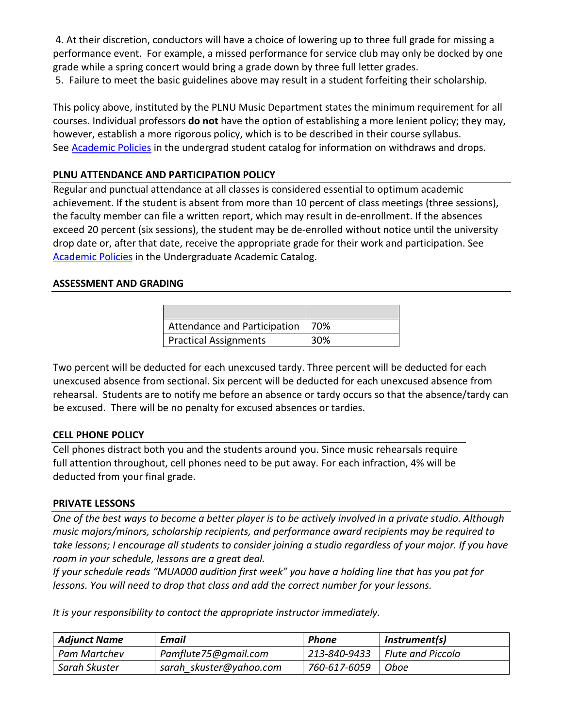4. At their discretion, conductors will have a choice of lowering up to three full grade for missing a performance event. For example, a missed performance for service club may only be docked by one grade while a spring concert would bring a grade down by three full letter grades. 5. Failure to meet the basic guidelines above may result in a student forfeiting their scholarship.

This policy above, instituted by the PLNU Music Department states the minimum requirement for all courses. Individual professors **do not** have the option of establishing a more lenient policy; they may, however, establish a more rigorous policy, which is to be described in their course syllabus. See **Academic Policies** in the undergrad student catalog for information on withdraws and drops.

# **PLNU ATTENDANCE AND PARTICIPATION POLICY**

Regular and punctual attendance at all classes is considered essential to optimum academic achievement. If the student is absent from more than 10 percent of class meetings (three sessions), the faculty member can file a written report, which may result in de-enrollment. If the absences exceed 20 percent (six sessions), the student may be de-enrolled without notice until the university drop date or, after that date, receive the appropriate grade for their work and participation. See [Academic Policies](http://catalog.pointloma.edu/content.php?catoid=18&navoid=1278) in the Undergraduate Academic Catalog.

### **ASSESSMENT AND GRADING**

| <b>Attendance and Participation</b> | 70% |
|-------------------------------------|-----|
| <b>Practical Assignments</b>        | 30% |

Two percent will be deducted for each unexcused tardy. Three percent will be deducted for each unexcused absence from sectional. Six percent will be deducted for each unexcused absence from rehearsal. Students are to notify me before an absence or tardy occurs so that the absence/tardy can be excused. There will be no penalty for excused absences or tardies.

## **CELL PHONE POLICY**

Cell phones distract both you and the students around you. Since music rehearsals require full attention throughout, cell phones need to be put away. For each infraction, 4% will be deducted from your final grade.

## **PRIVATE LESSONS**

*One of the best ways to become a better player is to be actively involved in a private studio. Although music majors/minors, scholarship recipients, and performance award recipients may be required to take lessons; I encourage all students to consider joining a studio regardless of your major. If you have room in your schedule, lessons are a great deal.*

*If your schedule reads "MUA000 audition first week" you have a holding line that has you pat for lessons. You will need to drop that class and add the correct number for your lessons.* 

*It is your responsibility to contact the appropriate instructor immediately.* 

| <b>Adjunct Name</b> | <b>Email</b>            | Phone        | Instrument(s)            |
|---------------------|-------------------------|--------------|--------------------------|
| Pam Martchev        | Pamflute75@gmail.com    | 213-840-9433 | $\mid$ Flute and Piccolo |
| Sarah Skuster       | sarah skuster@yahoo.com | 760-617-6059 | Oboe                     |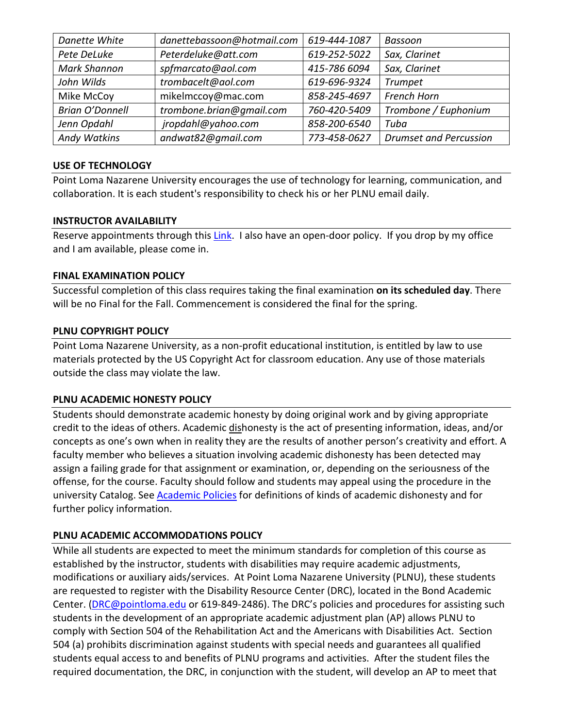| Danette White          | danettebassoon@hotmail.com | 619-444-1087 | Bassoon                       |
|------------------------|----------------------------|--------------|-------------------------------|
| Pete DeLuke            | Peterdeluke@att.com        | 619-252-5022 | Sax, Clarinet                 |
| <b>Mark Shannon</b>    | spfmarcato@aol.com         | 415-786 6094 | Sax, Clarinet                 |
| John Wilds             | trombacelt@aol.com         | 619-696-9324 | <b>Trumpet</b>                |
| Mike McCoy             | mikelmccoy@mac.com         | 858-245-4697 | French Horn                   |
| <b>Brian O'Donnell</b> | trombone.brian@gmail.com   | 760-420-5409 | Trombone / Euphonium          |
| Jenn Opdahl            | jropdahl@yahoo.com         | 858-200-6540 | Tuba                          |
| Andy Watkins           | andwat82@gmail.com         | 773-458-0627 | <b>Drumset and Percussion</b> |

#### **USE OF TECHNOLOGY**

Point Loma Nazarene University encourages the use of technology for learning, communication, and collaboration. It is each student's responsibility to check his or her PLNU email daily.

## **INSTRUCTOR AVAILABILITY**

Reserve appointments through this [Link.](https://calendar.google.com/calendar/selfsched?sstoken=UUN4aU05Zlc5WDktfGRlZmF1bHR8ODVlM2NmMzE1Yzc4Njg2NmFjMGQwMDVjNDc2NTljNmM) I also have an open-door policy. If you drop by my office and I am available, please come in.

## **FINAL EXAMINATION POLICY**

Successful completion of this class requires taking the final examination **on its scheduled day**. There will be no Final for the Fall. Commencement is considered the final for the spring.

### **PLNU COPYRIGHT POLICY**

Point Loma Nazarene University, as a non-profit educational institution, is entitled by law to use materials protected by the US Copyright Act for classroom education. Any use of those materials outside the class may violate the law.

## **PLNU ACADEMIC HONESTY POLICY**

Students should demonstrate academic honesty by doing original work and by giving appropriate credit to the ideas of others. Academic dishonesty is the act of presenting information, ideas, and/or concepts as one's own when in reality they are the results of another person's creativity and effort. A faculty member who believes a situation involving academic dishonesty has been detected may assign a failing grade for that assignment or examination, or, depending on the seriousness of the offense, for the course. Faculty should follow and students may appeal using the procedure in the university Catalog. Se[e Academic Policies](http://catalog.pointloma.edu/content.php?catoid=18&navoid=1278) for definitions of kinds of academic dishonesty and for further policy information.

## **PLNU ACADEMIC ACCOMMODATIONS POLICY**

While all students are expected to meet the minimum standards for completion of this course as established by the instructor, students with disabilities may require academic adjustments, modifications or auxiliary aids/services. At Point Loma Nazarene University (PLNU), these students are requested to register with the Disability Resource Center (DRC), located in the Bond Academic Center. [\(DRC@pointloma.edu](mailto:DRC@pointloma.edu) or 619-849-2486). The DRC's policies and procedures for assisting such students in the development of an appropriate academic adjustment plan (AP) allows PLNU to comply with Section 504 of the Rehabilitation Act and the Americans with Disabilities Act. Section 504 (a) prohibits discrimination against students with special needs and guarantees all qualified students equal access to and benefits of PLNU programs and activities. After the student files the required documentation, the DRC, in conjunction with the student, will develop an AP to meet that